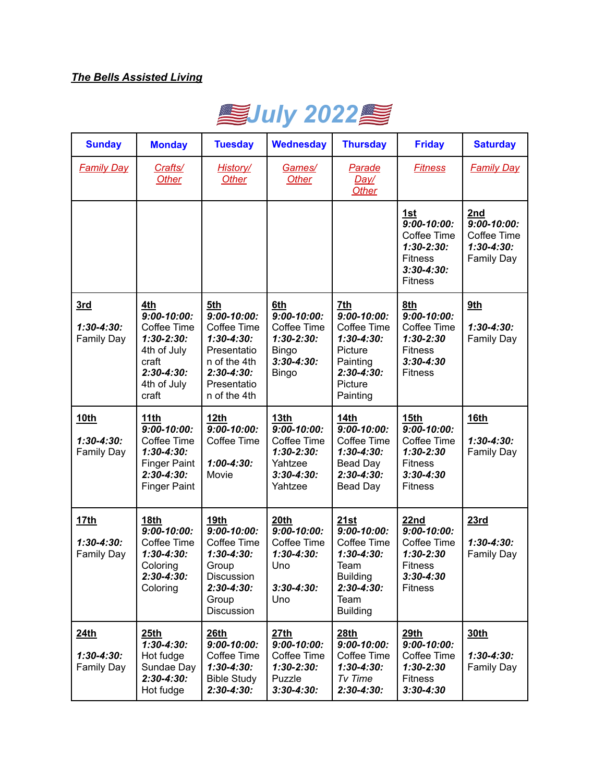## *The Bells Assisted Living*



| <b>Sunday</b>                                      | <b>Monday</b>                                                                                                             | <b>Tuesday</b>                                                                                                                           | <b>Wednesday</b>                                                                                            | <b>Thursday</b>                                                                                                                   | <b>Friday</b>                                                                                                             | <b>Saturday</b>                                                               |
|----------------------------------------------------|---------------------------------------------------------------------------------------------------------------------------|------------------------------------------------------------------------------------------------------------------------------------------|-------------------------------------------------------------------------------------------------------------|-----------------------------------------------------------------------------------------------------------------------------------|---------------------------------------------------------------------------------------------------------------------------|-------------------------------------------------------------------------------|
| <b>Family Day</b>                                  | Crafts/<br>Other                                                                                                          | <b>History/</b><br>Other                                                                                                                 | Games/<br><b>Other</b>                                                                                      | <b>Parade</b><br>Day/<br>Other                                                                                                    | <b>Fitness</b>                                                                                                            | <b>Family Day</b>                                                             |
|                                                    |                                                                                                                           |                                                                                                                                          |                                                                                                             |                                                                                                                                   | 1st<br>$9:00 - 10:00$ :<br>Coffee Time<br>$1:30-2:30:$<br><b>Fitness</b><br>$3:30 - 4:30:$<br><b>Fitness</b>              | 2nd<br>$9:00 - 10:00$ :<br>Coffee Time<br>$1:30 - 4:30:$<br><b>Family Day</b> |
| 3rd<br>$1:30 - 4:30:$<br><b>Family Day</b>         | 4th<br>$9:00 - 10:00:$<br>Coffee Time<br>$1:30-2:30:$<br>4th of July<br>craft<br>$2:30 - 4:30:$<br>4th of July<br>craft   | 5th<br>$9:00 - 10:00$ :<br>Coffee Time<br>$1:30 - 4:30:$<br>Presentatio<br>n of the 4th<br>$2:30 - 4:30:$<br>Presentatio<br>n of the 4th | 6th<br>$9:00 - 10:00$ :<br>Coffee Time<br>$1:30-2:30:$<br>Bingo<br>$3:30 - 4:30:$<br><b>Bingo</b>           | 7th<br>$9:00 - 10:00$ :<br>Coffee Time<br>$1:30 - 4:30:$<br>Picture<br>Painting<br>$2:30 - 4:30:$<br>Picture<br>Painting          | 8th<br>$9:00 - 10:00$ :<br>Coffee Time<br>$1:30 - 2:30$<br><b>Fitness</b><br>$3:30 - 4:30$<br><b>Fitness</b>              | 9th<br>$1:30 - 4:30:$<br><b>Family Day</b>                                    |
| 10th<br>$1:30 - 4:30:$<br><b>Family Day</b>        | 11th<br>$9:00 - 10:00$ :<br>Coffee Time<br>$1:30 - 4:30:$<br><b>Finger Paint</b><br>$2:30 - 4:30:$<br><b>Finger Paint</b> | 12 <sub>th</sub><br>$9:00 - 10:00$<br>Coffee Time<br>$1:00 - 4:30:$<br>Movie                                                             | 13 <sub>th</sub><br>$9:00 - 10:00$ :<br>Coffee Time<br>$1:30-2:30:$<br>Yahtzee<br>$3:30 - 4:30:$<br>Yahtzee | <b>14th</b><br>$9:00 - 10:00$ :<br>Coffee Time<br>$1:30 - 4:30:$<br>Bead Day<br>$2:30 - 4:30:$<br><b>Bead Day</b>                 | 15 <sub>th</sub><br>$9:00 - 10:00$ :<br>Coffee Time<br>$1:30 - 2:30$<br><b>Fitness</b><br>$3:30 - 4:30$<br><b>Fitness</b> | <b>16th</b><br>$1:30 - 4:30:$<br><b>Family Day</b>                            |
| <u>17th</u><br>$1:30 - 4:30:$<br><b>Family Day</b> | 18th<br>$9:00 - 10:00$<br>Coffee Time<br>$1:30 - 4:30:$<br>Coloring<br>$2:30 - 4:30:$<br>Coloring                         | <b>19th</b><br>$9:00 - 10:00$ :<br>Coffee Time<br>$1:30 - 4:30:$<br>Group<br><b>DISCUSSION</b><br>$2:30 - 4:30:$<br>Group<br>Discussion  | 20th<br>$9:00 - 10:00$ :<br>Coffee Time<br>$1:30 - 4:30:$<br>Uno<br>$3:30 - 4:30:$<br>Uno                   | 21st<br>$9:00 - 10:00$ :<br>Coffee Time<br>$1:30 - 4:30:$<br>Team<br><b>Building</b><br>$2:30 - 4:30:$<br>Team<br><b>Building</b> | 22nd<br>$9:00 - 10:00$<br>Coffee Time<br>$1:30 - 2:30$<br><b>Fitness</b><br>$3:30 - 4:30$<br><b>Fitness</b>               | 23rd<br>$1:30 - 4:30:$<br><b>Family Day</b>                                   |
| 24th<br>$1:30 - 4:30:$<br>Family Day               | 25th<br>$1:30-4:30:$<br>Hot fudge<br>Sundae Day<br>$2:30 - 4:30:$<br>Hot fudge                                            | 26th<br>$9:00 - 10:00$ :<br>Coffee Time<br>$1:30 - 4:30:$<br><b>Bible Study</b><br>$2:30 - 4:30:$                                        | 27th<br>$9:00 - 10:00$ :<br>Coffee Time<br>$1:30-2:30:$<br>Puzzle<br>$3:30 - 4:30:$                         | 28th<br>$9:00 - 10:00$ :<br>Coffee Time<br>$1:30 - 4:30:$<br>Tv Time<br>$2:30 - 4:30:$                                            | 29th<br>$9:00 - 10:00$ :<br>Coffee Time<br>$1:30 - 2:30$<br><b>Fitness</b><br>$3:30 - 4:30$                               | 30th<br>$1:30 - 4:30:$<br>Family Day                                          |